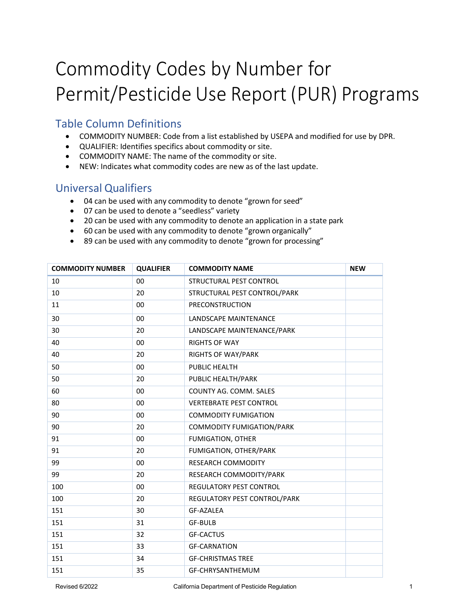## Commodity Codes by Number for Permit/Pesticide Use Report (PUR) Programs

## Table Column Definitions

- COMMODITY NUMBER: Code from a list established by USEPA and modified for use by DPR.
- QUALIFIER: Identifies specifics about commodity or site.
- COMMODITY NAME: The name of the commodity or site.
- NEW: Indicates what commodity codes are new as of the last update.

## Universal Qualifiers

- 04 can be used with any commodity to denote "grown for seed"
- 07 can be used to denote a "seedless" variety
- 20 can be used with any commodity to denote an application in a state park
- 60 can be used with any commodity to denote "grown organically"
- 89 can be used with any commodity to denote "grown for processing"

| <b>COMMODITY NUMBER</b> | <b>QUALIFIER</b> | <b>COMMODITY NAME</b>            | <b>NEW</b> |
|-------------------------|------------------|----------------------------------|------------|
| 10                      | 00               | STRUCTURAL PEST CONTROL          |            |
| 10                      | 20               | STRUCTURAL PEST CONTROL/PARK     |            |
| 11                      | 00               | PRECONSTRUCTION                  |            |
| 30                      | 00               | LANDSCAPE MAINTENANCE            |            |
| 30                      | 20               | LANDSCAPE MAINTENANCE/PARK       |            |
| 40                      | 00               | <b>RIGHTS OF WAY</b>             |            |
| 40                      | 20               | <b>RIGHTS OF WAY/PARK</b>        |            |
| 50                      | 00               | PUBLIC HEALTH                    |            |
| 50                      | 20               | PUBLIC HEALTH/PARK               |            |
| 60                      | 00               | COUNTY AG. COMM. SALES           |            |
| 80                      | 00               | <b>VERTEBRATE PEST CONTROL</b>   |            |
| 90                      | 00               | <b>COMMODITY FUMIGATION</b>      |            |
| 90                      | 20               | <b>COMMODITY FUMIGATION/PARK</b> |            |
| 91                      | 00               | <b>FUMIGATION, OTHER</b>         |            |
| 91                      | 20               | FUMIGATION, OTHER/PARK           |            |
| 99                      | 00               | <b>RESEARCH COMMODITY</b>        |            |
| 99                      | 20               | RESEARCH COMMODITY/PARK          |            |
| 100                     | 00               | REGULATORY PEST CONTROL          |            |
| 100                     | 20               | REGULATORY PEST CONTROL/PARK     |            |
| 151                     | 30               | <b>GF-AZALEA</b>                 |            |
| 151                     | 31               | <b>GF-BULB</b>                   |            |
| 151                     | 32               | <b>GF-CACTUS</b>                 |            |
| 151                     | 33               | <b>GF-CARNATION</b>              |            |
| 151                     | 34               | <b>GF-CHRISTMAS TREE</b>         |            |
| 151                     | 35               | GF-CHRYSANTHEMUM                 |            |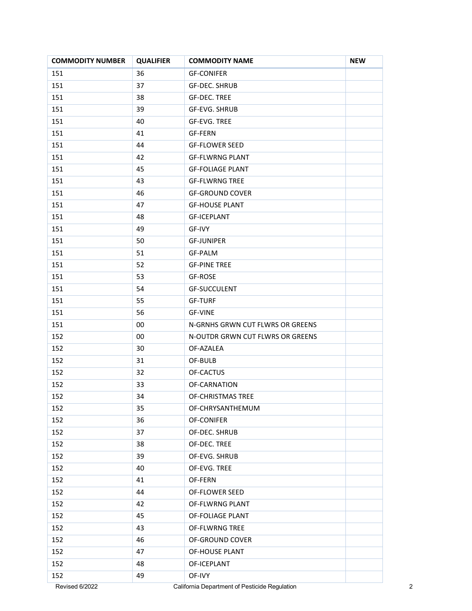| <b>COMMODITY NUMBER</b> | <b>QUALIFIER</b> | <b>COMMODITY NAME</b>                         | <b>NEW</b> |
|-------------------------|------------------|-----------------------------------------------|------------|
| 151                     | 36               | <b>GF-CONIFER</b>                             |            |
| 151                     | 37               | <b>GF-DEC. SHRUB</b>                          |            |
| 151                     | 38               | GF-DEC. TREE                                  |            |
| 151                     | 39               | GF-EVG. SHRUB                                 |            |
| 151                     | 40               | <b>GF-EVG. TREE</b>                           |            |
| 151                     | 41               | <b>GF-FERN</b>                                |            |
| 151                     | 44               | <b>GF-FLOWER SEED</b>                         |            |
| 151                     | 42               | <b>GF-FLWRNG PLANT</b>                        |            |
| 151                     | 45               | <b>GF-FOLIAGE PLANT</b>                       |            |
| 151                     | 43               | <b>GF-FLWRNG TREE</b>                         |            |
| 151                     | 46               | <b>GF-GROUND COVER</b>                        |            |
| 151                     | 47               | <b>GF-HOUSE PLANT</b>                         |            |
| 151                     | 48               | <b>GF-ICEPLANT</b>                            |            |
| 151                     | 49               | GF-IVY                                        |            |
| 151                     | 50               | <b>GF-JUNIPER</b>                             |            |
| 151                     | 51               | <b>GF-PALM</b>                                |            |
| 151                     | 52               | <b>GF-PINE TREE</b>                           |            |
| 151                     | 53               | GF-ROSE                                       |            |
| 151                     | 54               | <b>GF-SUCCULENT</b>                           |            |
| 151                     | 55               | <b>GF-TURF</b>                                |            |
| 151                     | 56               | GF-VINE                                       |            |
| 151                     | 00               | N-GRNHS GRWN CUT FLWRS OR GREENS              |            |
| 152                     | 00               | N-OUTDR GRWN CUT FLWRS OR GREENS              |            |
| 152                     | 30               | OF-AZALEA                                     |            |
| 152                     | 31               | OF-BULB                                       |            |
| 152                     | 32               | OF-CACTUS                                     |            |
| 152                     | 33               | OF-CARNATION                                  |            |
| 152                     | 34               | OF-CHRISTMAS TREE                             |            |
| 152                     | 35               | OF-CHRYSANTHEMUM                              |            |
| 152                     | 36               | OF-CONIFER                                    |            |
| 152                     | 37               | OF-DEC. SHRUB                                 |            |
| 152                     | 38               | OF-DEC. TREE                                  |            |
| 152                     | 39               | OF-EVG. SHRUB                                 |            |
| 152                     | 40               | OF-EVG. TREE                                  |            |
| 152                     | 41               | OF-FERN                                       |            |
| 152                     | 44               | OF-FLOWER SEED                                |            |
| 152                     | 42               | OF-FLWRNG PLANT                               |            |
| 152                     | 45               | OF-FOLIAGE PLANT                              |            |
| 152                     | 43               | OF-FLWRNG TREE                                |            |
| 152                     | 46               | OF-GROUND COVER                               |            |
| 152                     | 47               | OF-HOUSE PLANT                                |            |
| 152                     | 48               | OF-ICEPLANT                                   |            |
| 152                     | 49               | OF-IVY                                        |            |
| Revised 6/2022          |                  | California Department of Pesticide Regulation |            |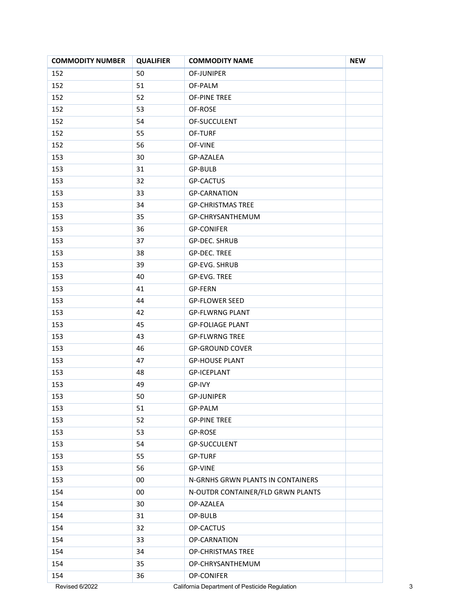| <b>COMMODITY NUMBER</b> | <b>QUALIFIER</b> | <b>COMMODITY NAME</b>                         | <b>NEW</b> |
|-------------------------|------------------|-----------------------------------------------|------------|
| 152                     | 50               | OF-JUNIPER                                    |            |
| 152                     | 51               | OF-PALM                                       |            |
| 152                     | 52               | OF-PINE TREE                                  |            |
| 152                     | 53               | OF-ROSE                                       |            |
| 152                     | 54               | OF-SUCCULENT                                  |            |
| 152                     | 55               | OF-TURF                                       |            |
| 152                     | 56               | OF-VINE                                       |            |
| 153                     | 30               | GP-AZALEA                                     |            |
| 153                     | 31               | GP-BULB                                       |            |
| 153                     | 32               | <b>GP-CACTUS</b>                              |            |
| 153                     | 33               | <b>GP-CARNATION</b>                           |            |
| 153                     | 34               | <b>GP-CHRISTMAS TREE</b>                      |            |
| 153                     | 35               | GP-CHRYSANTHEMUM                              |            |
| 153                     | 36               | <b>GP-CONIFER</b>                             |            |
| 153                     | 37               | GP-DEC. SHRUB                                 |            |
| 153                     | 38               | <b>GP-DEC. TREE</b>                           |            |
| 153                     | 39               | GP-EVG. SHRUB                                 |            |
| 153                     | 40               | GP-EVG. TREE                                  |            |
| 153                     | 41               | GP-FERN                                       |            |
| 153                     | 44               | <b>GP-FLOWER SEED</b>                         |            |
| 153                     | 42               | <b>GP-FLWRNG PLANT</b>                        |            |
| 153                     | 45               | <b>GP-FOLIAGE PLANT</b>                       |            |
| 153                     | 43               | <b>GP-FLWRNG TREE</b>                         |            |
| 153                     | 46               | <b>GP-GROUND COVER</b>                        |            |
| 153                     | 47               | <b>GP-HOUSE PLANT</b>                         |            |
| 153                     | 48               | <b>GP-ICEPLANT</b>                            |            |
| 153                     | 49               | GP-IVY                                        |            |
| 153                     | 50               | <b>GP-JUNIPER</b>                             |            |
| 153                     | 51               | GP-PALM                                       |            |
| 153                     | 52               | <b>GP-PINE TREE</b>                           |            |
| 153                     | 53               | GP-ROSE                                       |            |
| 153                     | 54               | GP-SUCCULENT                                  |            |
| 153                     | 55               | <b>GP-TURF</b>                                |            |
| 153                     | 56               | <b>GP-VINE</b>                                |            |
| 153                     | $00\,$           | N-GRNHS GRWN PLANTS IN CONTAINERS             |            |
| 154                     | 00               | N-OUTDR CONTAINER/FLD GRWN PLANTS             |            |
| 154                     | 30               | OP-AZALEA                                     |            |
| 154                     | 31               | OP-BULB                                       |            |
| 154                     | 32               | OP-CACTUS                                     |            |
| 154                     | 33               | OP-CARNATION                                  |            |
| 154                     | 34               | OP-CHRISTMAS TREE                             |            |
| 154                     | 35               | OP-CHRYSANTHEMUM                              |            |
| 154                     | 36               | OP-CONIFER                                    |            |
| Revised 6/2022          |                  | California Department of Pesticide Regulation |            |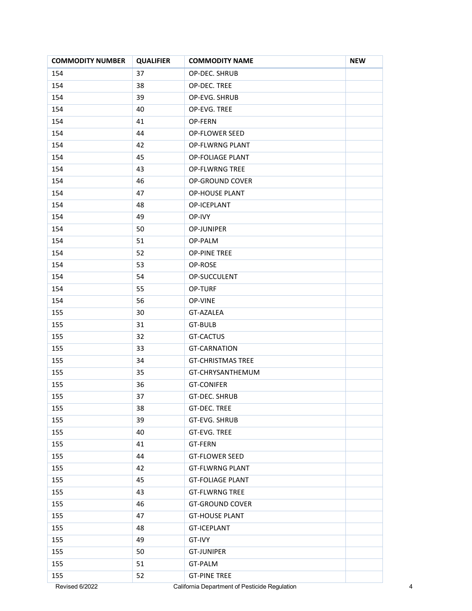| <b>COMMODITY NUMBER</b> | <b>QUALIFIER</b> | <b>COMMODITY NAME</b>                         | <b>NEW</b> |
|-------------------------|------------------|-----------------------------------------------|------------|
| 154                     | 37               | OP-DEC. SHRUB                                 |            |
| 154                     | 38               | OP-DEC. TREE                                  |            |
| 154                     | 39               | OP-EVG. SHRUB                                 |            |
| 154                     | 40               | OP-EVG. TREE                                  |            |
| 154                     | 41               | OP-FERN                                       |            |
| 154                     | 44               | OP-FLOWER SEED                                |            |
| 154                     | 42               | OP-FLWRNG PLANT                               |            |
| 154                     | 45               | <b>OP-FOLIAGE PLANT</b>                       |            |
| 154                     | 43               | <b>OP-FLWRNG TREE</b>                         |            |
| 154                     | 46               | OP-GROUND COVER                               |            |
| 154                     | 47               | <b>OP-HOUSE PLANT</b>                         |            |
| 154                     | 48               | OP-ICEPLANT                                   |            |
| 154                     | 49               | OP-IVY                                        |            |
| 154                     | 50               | OP-JUNIPER                                    |            |
| 154                     | 51               | OP-PALM                                       |            |
| 154                     | 52               | <b>OP-PINE TREE</b>                           |            |
| 154                     | 53               | OP-ROSE                                       |            |
| 154                     | 54               | OP-SUCCULENT                                  |            |
| 154                     | 55               | <b>OP-TURF</b>                                |            |
| 154                     | 56               | OP-VINE                                       |            |
| 155                     | 30               | GT-AZALEA                                     |            |
| 155                     | 31               | GT-BULB                                       |            |
| 155                     | 32               | GT-CACTUS                                     |            |
| 155                     | 33               | <b>GT-CARNATION</b>                           |            |
| 155                     | 34               | <b>GT-CHRISTMAS TREE</b>                      |            |
| 155                     | 35               | GT-CHRYSANTHEMUM                              |            |
| 155                     | 36               | <b>GT-CONIFER</b>                             |            |
| 155                     | 37               | <b>GT-DEC. SHRUB</b>                          |            |
| 155                     | 38               | GT-DEC. TREE                                  |            |
| 155                     | 39               | GT-EVG. SHRUB                                 |            |
| 155                     | 40               | GT-EVG. TREE                                  |            |
| 155                     | 41               | GT-FERN                                       |            |
| 155                     | 44               | <b>GT-FLOWER SEED</b>                         |            |
| 155                     | 42               | <b>GT-FLWRNG PLANT</b>                        |            |
| 155                     | 45               | <b>GT-FOLIAGE PLANT</b>                       |            |
| 155                     | 43               | <b>GT-FLWRNG TREE</b>                         |            |
| 155                     | 46               | <b>GT-GROUND COVER</b>                        |            |
| 155                     | 47               | <b>GT-HOUSE PLANT</b>                         |            |
| 155                     | 48               | <b>GT-ICEPLANT</b>                            |            |
| 155                     | 49               | GT-IVY                                        |            |
| 155                     | 50               | <b>GT-JUNIPER</b>                             |            |
| 155                     | 51               | GT-PALM                                       |            |
| 155                     | 52               | <b>GT-PINE TREE</b>                           |            |
| Revised 6/2022          |                  | California Department of Pesticide Regulation |            |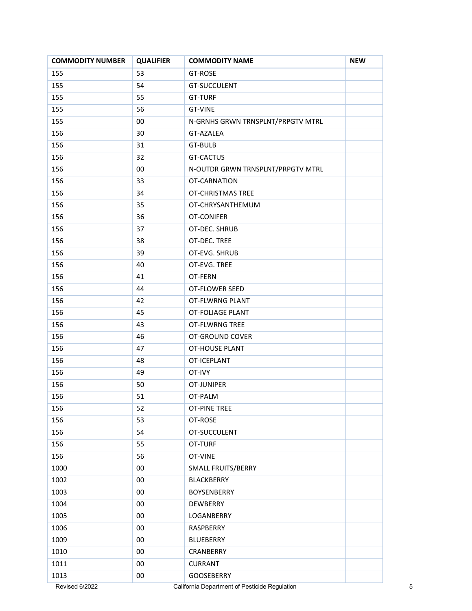| <b>COMMODITY NUMBER</b> | <b>QUALIFIER</b> | <b>COMMODITY NAME</b>                         | <b>NEW</b> |
|-------------------------|------------------|-----------------------------------------------|------------|
| 155                     | 53               | GT-ROSE                                       |            |
| 155                     | 54               | GT-SUCCULENT                                  |            |
| 155                     | 55               | <b>GT-TURF</b>                                |            |
| 155                     | 56               | <b>GT-VINE</b>                                |            |
| 155                     | 00               | N-GRNHS GRWN TRNSPLNT/PRPGTV MTRL             |            |
| 156                     | 30               | GT-AZALEA                                     |            |
| 156                     | 31               | <b>GT-BULB</b>                                |            |
| 156                     | 32               | <b>GT-CACTUS</b>                              |            |
| 156                     | 00               | N-OUTDR GRWN TRNSPLNT/PRPGTV MTRL             |            |
| 156                     | 33               | OT-CARNATION                                  |            |
| 156                     | 34               | OT-CHRISTMAS TREE                             |            |
| 156                     | 35               | OT-CHRYSANTHEMUM                              |            |
| 156                     | 36               | OT-CONIFER                                    |            |
| 156                     | 37               | OT-DEC. SHRUB                                 |            |
| 156                     | 38               | OT-DEC. TREE                                  |            |
| 156                     | 39               | OT-EVG. SHRUB                                 |            |
| 156                     | 40               | OT-EVG. TREE                                  |            |
| 156                     | 41               | OT-FERN                                       |            |
| 156                     | 44               | OT-FLOWER SEED                                |            |
| 156                     | 42               | OT-FLWRNG PLANT                               |            |
| 156                     | 45               | <b>OT-FOLIAGE PLANT</b>                       |            |
| 156                     | 43               | OT-FLWRNG TREE                                |            |
| 156                     | 46               | OT-GROUND COVER                               |            |
| 156                     | 47               | OT-HOUSE PLANT                                |            |
| 156                     | 48               | OT-ICEPLANT                                   |            |
| 156                     | 49               | OT-IVY                                        |            |
| 156                     | 50               | OT-JUNIPER                                    |            |
| 156                     | 51               | OT-PALM                                       |            |
| 156                     | 52               | <b>OT-PINE TREE</b>                           |            |
| 156                     | 53               | OT-ROSE                                       |            |
| 156                     | 54               | OT-SUCCULENT                                  |            |
| 156                     | 55               | OT-TURF                                       |            |
| 156                     | 56               | OT-VINE                                       |            |
| 1000                    | $00\,$           | SMALL FRUITS/BERRY                            |            |
| 1002                    | 00               | <b>BLACKBERRY</b>                             |            |
| 1003                    | $00\,$           | BOYSENBERRY                                   |            |
| 1004                    | $00\,$           | DEWBERRY                                      |            |
| 1005                    | $00\,$           | LOGANBERRY                                    |            |
| 1006                    | $00\,$           | RASPBERRY                                     |            |
| 1009                    | 00               | BLUEBERRY                                     |            |
| 1010                    | $00\,$           | CRANBERRY                                     |            |
| 1011                    | $00\,$           | <b>CURRANT</b>                                |            |
| 1013                    | 00               | GOOSEBERRY                                    |            |
| Revised 6/2022          |                  | California Department of Pesticide Regulation |            |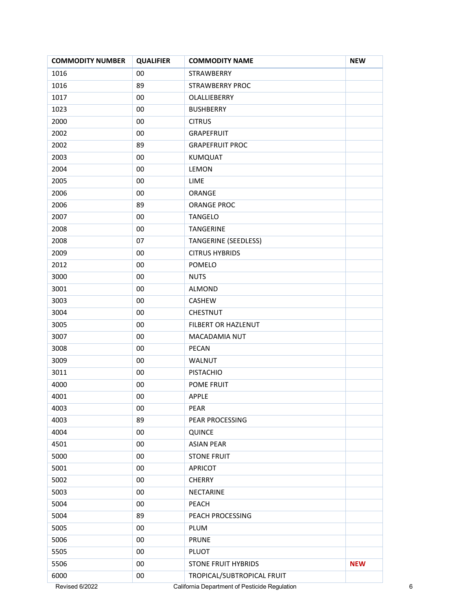| <b>COMMODITY NUMBER</b> | <b>QUALIFIER</b> | <b>COMMODITY NAME</b>       | <b>NEW</b> |
|-------------------------|------------------|-----------------------------|------------|
| 1016                    | 00               | <b>STRAWBERRY</b>           |            |
| 1016                    | 89               | <b>STRAWBERRY PROC</b>      |            |
| 1017                    | 00               | OLALLIEBERRY                |            |
| 1023                    | $00\,$           | <b>BUSHBERRY</b>            |            |
| 2000                    | 00               | <b>CITRUS</b>               |            |
| 2002                    | 00               | GRAPEFRUIT                  |            |
| 2002                    | 89               | <b>GRAPEFRUIT PROC</b>      |            |
| 2003                    | $00\,$           | KUMQUAT                     |            |
| 2004                    | 00               | <b>LEMON</b>                |            |
| 2005                    | 00               | LIME                        |            |
| 2006                    | $00\,$           | ORANGE                      |            |
| 2006                    | 89               | <b>ORANGE PROC</b>          |            |
| 2007                    | $00\,$           | <b>TANGELO</b>              |            |
| 2008                    | 00               | TANGERINE                   |            |
| 2008                    | 07               | <b>TANGERINE (SEEDLESS)</b> |            |
| 2009                    | 00               | <b>CITRUS HYBRIDS</b>       |            |
| 2012                    | 00               | POMELO                      |            |
| 3000                    | $00\,$           | <b>NUTS</b>                 |            |
| 3001                    | 00               | ALMOND                      |            |
| 3003                    | $00\,$           | CASHEW                      |            |
| 3004                    | 00               | CHESTNUT                    |            |
| 3005                    | $00\,$           | FILBERT OR HAZLENUT         |            |
| 3007                    | $00\,$           | MACADAMIA NUT               |            |
| 3008                    | 00               | PECAN                       |            |
| 3009                    | $00\,$           | WALNUT                      |            |
| 3011                    | 00               | <b>PISTACHIO</b>            |            |
| 4000                    | 00               | POME FRUIT                  |            |
| 4001                    | 00               | <b>APPLE</b>                |            |
| 4003                    | $00\,$           | PEAR                        |            |
| 4003                    | 89               | PEAR PROCESSING             |            |
| 4004                    | $00\,$           | QUINCE                      |            |
| 4501                    | $00\,$           | <b>ASIAN PEAR</b>           |            |
| 5000                    | $00\,$           | <b>STONE FRUIT</b>          |            |
| 5001                    | $00\,$           | <b>APRICOT</b>              |            |
| 5002                    | $00\,$           | <b>CHERRY</b>               |            |
| 5003                    | 00               | <b>NECTARINE</b>            |            |
| 5004                    | $00\,$           | PEACH                       |            |
| 5004                    | 89               | PEACH PROCESSING            |            |
| 5005                    | $00\,$           | PLUM                        |            |
| 5006                    | 00               | <b>PRUNE</b>                |            |
| 5505                    | $00\,$           | PLUOT                       |            |
| 5506                    | 00               | <b>STONE FRUIT HYBRIDS</b>  | <b>NEW</b> |
| 6000                    | 00               | TROPICAL/SUBTROPICAL FRUIT  |            |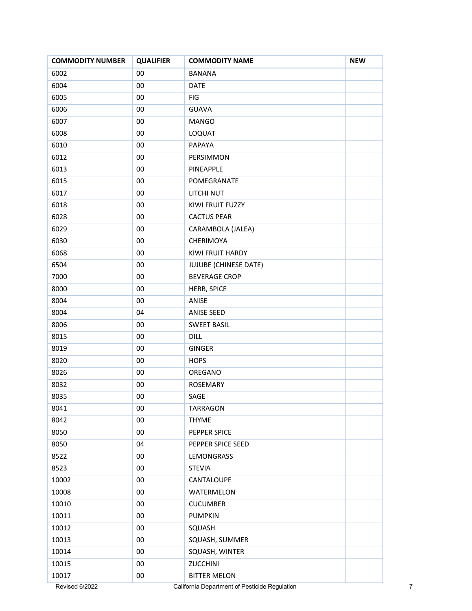| <b>COMMODITY NUMBER</b> | <b>QUALIFIER</b> | <b>COMMODITY NAME</b>                         | <b>NEW</b> |
|-------------------------|------------------|-----------------------------------------------|------------|
| 6002                    | $00\,$           | <b>BANANA</b>                                 |            |
| 6004                    | 00               | <b>DATE</b>                                   |            |
| 6005                    | 00               | FIG                                           |            |
| 6006                    | 00               | <b>GUAVA</b>                                  |            |
| 6007                    | 00               | <b>MANGO</b>                                  |            |
| 6008                    | $00\,$           | LOQUAT                                        |            |
| 6010                    | $00\,$           | PAPAYA                                        |            |
| 6012                    | $00\,$           | PERSIMMON                                     |            |
| 6013                    | 00               | PINEAPPLE                                     |            |
| 6015                    | 00               | POMEGRANATE                                   |            |
| 6017                    | $00\,$           | LITCHI NUT                                    |            |
| 6018                    | $00\,$           | KIWI FRUIT FUZZY                              |            |
| 6028                    | 00               | <b>CACTUS PEAR</b>                            |            |
| 6029                    | 00               | CARAMBOLA (JALEA)                             |            |
| 6030                    | $00\,$           | CHERIMOYA                                     |            |
| 6068                    | 00               | KIWI FRUIT HARDY                              |            |
| 6504                    | $00\,$           | JUJUBE (CHINESE DATE)                         |            |
| 7000                    | $00\,$           | <b>BEVERAGE CROP</b>                          |            |
| 8000                    | 00               | HERB, SPICE                                   |            |
| 8004                    | 00               | ANISE                                         |            |
| 8004                    | 04               | ANISE SEED                                    |            |
| 8006                    | 00               | <b>SWEET BASIL</b>                            |            |
| 8015                    | $00\,$           | <b>DILL</b>                                   |            |
| 8019                    | $00\,$           | GINGER                                        |            |
| 8020                    | $00\,$           | <b>HOPS</b>                                   |            |
| 8026                    | 00               | OREGANO                                       |            |
| 8032                    | 00               | ROSEMARY                                      |            |
| 8035                    | 00               | SAGE                                          |            |
| 8041                    | 00               | <b>TARRAGON</b>                               |            |
| 8042                    | $00\,$           | <b>THYME</b>                                  |            |
| 8050                    | $00\,$           | PEPPER SPICE                                  |            |
| 8050                    | 04               | PEPPER SPICE SEED                             |            |
| 8522                    | $00\,$           | LEMONGRASS                                    |            |
| 8523                    | $00\,$           | <b>STEVIA</b>                                 |            |
| 10002                   | $00\,$           | CANTALOUPE                                    |            |
| 10008                   | $00\,$           | WATERMELON                                    |            |
| 10010                   | $00\,$           | <b>CUCUMBER</b>                               |            |
| 10011                   | $00\,$           | <b>PUMPKIN</b>                                |            |
| 10012                   | $00\,$           | SQUASH                                        |            |
| 10013                   | $00\,$           | SQUASH, SUMMER                                |            |
| 10014                   | $00\,$           | SQUASH, WINTER                                |            |
| 10015                   | $00\,$           | ZUCCHINI                                      |            |
| 10017                   | $00\,$           | <b>BITTER MELON</b>                           |            |
| Revised 6/2022          |                  | California Department of Pesticide Regulation |            |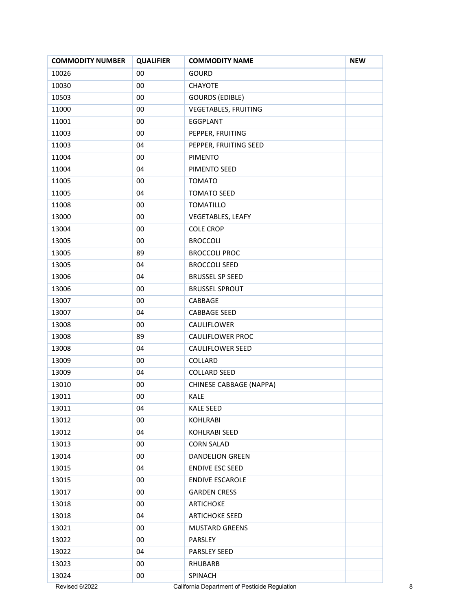| <b>COMMODITY NUMBER</b> | <b>QUALIFIER</b> | <b>COMMODITY NAME</b>    | <b>NEW</b> |
|-------------------------|------------------|--------------------------|------------|
| 10026                   | 00               | GOURD                    |            |
| 10030                   | $00\,$           | <b>CHAYOTE</b>           |            |
| 10503                   | 00               | <b>GOURDS (EDIBLE)</b>   |            |
| 11000                   | 00               | VEGETABLES, FRUITING     |            |
| 11001                   | 00               | EGGPLANT                 |            |
| 11003                   | 00               | PEPPER, FRUITING         |            |
| 11003                   | 04               | PEPPER, FRUITING SEED    |            |
| 11004                   | $00\,$           | <b>PIMENTO</b>           |            |
| 11004                   | 04               | PIMENTO SEED             |            |
| 11005                   | 00               | <b>TOMATO</b>            |            |
| 11005                   | 04               | <b>TOMATO SEED</b>       |            |
| 11008                   | 00               | <b>TOMATILLO</b>         |            |
| 13000                   | 00               | <b>VEGETABLES, LEAFY</b> |            |
| 13004                   | 00               | <b>COLE CROP</b>         |            |
| 13005                   | 00               | <b>BROCCOLI</b>          |            |
| 13005                   | 89               | <b>BROCCOLI PROC</b>     |            |
| 13005                   | 04               | <b>BROCCOLI SEED</b>     |            |
| 13006                   | 04               | <b>BRUSSEL SP SEED</b>   |            |
| 13006                   | $00\,$           | <b>BRUSSEL SPROUT</b>    |            |
| 13007                   | $00\,$           | CABBAGE                  |            |
| 13007                   | 04               | <b>CABBAGE SEED</b>      |            |
| 13008                   | 00               | CAULIFLOWER              |            |
| 13008                   | 89               | <b>CAULIFLOWER PROC</b>  |            |
| 13008                   | 04               | CAULIFLOWER SEED         |            |
| 13009                   | $00\,$           | COLLARD                  |            |
| 13009                   | 04               | <b>COLLARD SEED</b>      |            |
| 13010                   | 00               | CHINESE CABBAGE (NAPPA)  |            |
| 13011                   | 00               | <b>KALE</b>              |            |
| 13011                   | 04               | <b>KALE SEED</b>         |            |
| 13012                   | 00               | KOHLRABI                 |            |
| 13012                   | 04               | <b>KOHLRABI SEED</b>     |            |
| 13013                   | 00               | <b>CORN SALAD</b>        |            |
| 13014                   | 00               | <b>DANDELION GREEN</b>   |            |
| 13015                   | 04               | <b>ENDIVE ESC SEED</b>   |            |
| 13015                   | 00               | <b>ENDIVE ESCAROLE</b>   |            |
| 13017                   | 00               | <b>GARDEN CRESS</b>      |            |
| 13018                   | $00\,$           | <b>ARTICHOKE</b>         |            |
| 13018                   | 04               | <b>ARTICHOKE SEED</b>    |            |
| 13021                   | 00               | <b>MUSTARD GREENS</b>    |            |
| 13022                   | 00               | PARSLEY                  |            |
| 13022                   | 04               | PARSLEY SEED             |            |
| 13023                   | 00               | <b>RHUBARB</b>           |            |
| 13024                   | 00               | SPINACH                  |            |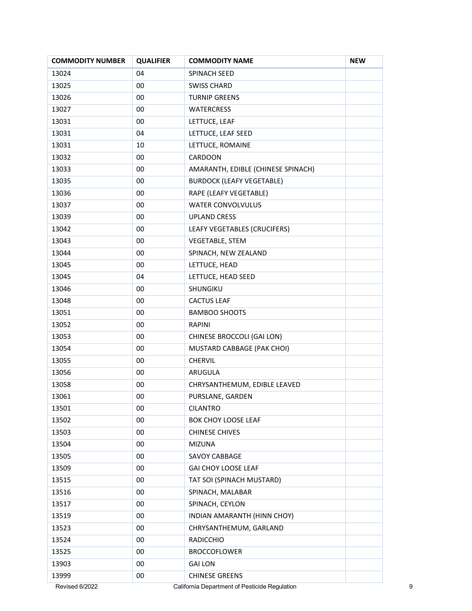| <b>COMMODITY NUMBER</b> | <b>QUALIFIER</b> | <b>COMMODITY NAME</b>                         | <b>NEW</b> |
|-------------------------|------------------|-----------------------------------------------|------------|
| 13024                   | 04               | SPINACH SEED                                  |            |
| 13025                   | 00               | <b>SWISS CHARD</b>                            |            |
| 13026                   | 00               | <b>TURNIP GREENS</b>                          |            |
| 13027                   | 00               | <b>WATERCRESS</b>                             |            |
| 13031                   | 00               | LETTUCE, LEAF                                 |            |
| 13031                   | 04               | LETTUCE, LEAF SEED                            |            |
| 13031                   | 10               | LETTUCE, ROMAINE                              |            |
| 13032                   | 00               | CARDOON                                       |            |
| 13033                   | 00               | AMARANTH, EDIBLE (CHINESE SPINACH)            |            |
| 13035                   | 00               | <b>BURDOCK (LEAFY VEGETABLE)</b>              |            |
| 13036                   | 00               | RAPE (LEAFY VEGETABLE)                        |            |
| 13037                   | 00               | <b>WATER CONVOLVULUS</b>                      |            |
| 13039                   | 00               | <b>UPLAND CRESS</b>                           |            |
| 13042                   | 00               | LEAFY VEGETABLES (CRUCIFERS)                  |            |
| 13043                   | 00               | <b>VEGETABLE, STEM</b>                        |            |
| 13044                   | 00               | SPINACH, NEW ZEALAND                          |            |
| 13045                   | 00               | LETTUCE, HEAD                                 |            |
| 13045                   | 04               | LETTUCE, HEAD SEED                            |            |
| 13046                   | 00               | SHUNGIKU                                      |            |
| 13048                   | 00               | <b>CACTUS LEAF</b>                            |            |
| 13051                   | 00               | <b>BAMBOO SHOOTS</b>                          |            |
| 13052                   | 00               | <b>RAPINI</b>                                 |            |
| 13053                   | 00               | CHINESE BROCCOLI (GAI LON)                    |            |
| 13054                   | 00               | MUSTARD CABBAGE (PAK CHOI)                    |            |
| 13055                   | 00               | <b>CHERVIL</b>                                |            |
| 13056                   | 00               | ARUGULA                                       |            |
| 13058                   | 00               | CHRYSANTHEMUM, EDIBLE LEAVED                  |            |
| 13061                   | 00               | PURSLANE, GARDEN                              |            |
| 13501                   | 00               | <b>CILANTRO</b>                               |            |
| 13502                   | 00               | BOK CHOY LOOSE LEAF                           |            |
| 13503                   | 00               | <b>CHINESE CHIVES</b>                         |            |
| 13504                   | 00               | <b>MIZUNA</b>                                 |            |
| 13505                   | 00               | SAVOY CABBAGE                                 |            |
| 13509                   | 00               | GAI CHOY LOOSE LEAF                           |            |
| 13515                   | 00               | TAT SOI (SPINACH MUSTARD)                     |            |
| 13516                   | 00               | SPINACH, MALABAR                              |            |
| 13517                   | 00               | SPINACH, CEYLON                               |            |
| 13519                   | 00               | INDIAN AMARANTH (HINN CHOY)                   |            |
| 13523                   | 00               | CHRYSANTHEMUM, GARLAND                        |            |
| 13524                   | 00               | <b>RADICCHIO</b>                              |            |
| 13525                   | 00               | <b>BROCCOFLOWER</b>                           |            |
| 13903                   | 00               | <b>GAI LON</b>                                |            |
| 13999                   | $00\,$           | <b>CHINESE GREENS</b>                         |            |
| Revised 6/2022          |                  | California Department of Pesticide Regulation |            |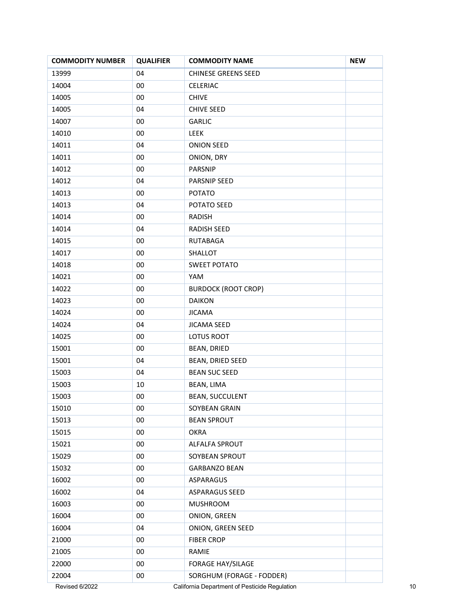| <b>COMMODITY NUMBER</b> | <b>QUALIFIER</b> | <b>COMMODITY NAME</b>      | <b>NEW</b> |
|-------------------------|------------------|----------------------------|------------|
| 13999                   | 04               | <b>CHINESE GREENS SEED</b> |            |
| 14004                   | 00               | CELERIAC                   |            |
| 14005                   | 00               | <b>CHIVE</b>               |            |
| 14005                   | 04               | <b>CHIVE SEED</b>          |            |
| 14007                   | 00               | <b>GARLIC</b>              |            |
| 14010                   | 00               | LEEK                       |            |
| 14011                   | 04               | <b>ONION SEED</b>          |            |
| 14011                   | $00\,$           | ONION, DRY                 |            |
| 14012                   | 00               | PARSNIP                    |            |
| 14012                   | 04               | PARSNIP SEED               |            |
| 14013                   | $00\,$           | <b>POTATO</b>              |            |
| 14013                   | 04               | POTATO SEED                |            |
| 14014                   | 00               | <b>RADISH</b>              |            |
| 14014                   | 04               | RADISH SEED                |            |
| 14015                   | 00               | RUTABAGA                   |            |
| 14017                   | 00               | SHALLOT                    |            |
| 14018                   | $00\,$           | <b>SWEET POTATO</b>        |            |
| 14021                   | 00               | YAM                        |            |
| 14022                   | $00\,$           | <b>BURDOCK (ROOT CROP)</b> |            |
| 14023                   | $00\,$           | <b>DAIKON</b>              |            |
| 14024                   | 00               | <b>JICAMA</b>              |            |
| 14024                   | 04               | <b>JICAMA SEED</b>         |            |
| 14025                   | 00               | LOTUS ROOT                 |            |
| 15001                   | $00\,$           | BEAN, DRIED                |            |
| 15001                   | 04               | BEAN, DRIED SEED           |            |
| 15003                   | 04               | <b>BEAN SUC SEED</b>       |            |
| 15003                   | 10               | BEAN, LIMA                 |            |
| 15003                   | 00               | <b>BEAN, SUCCULENT</b>     |            |
| 15010                   | $00\,$           | SOYBEAN GRAIN              |            |
| 15013                   | $00\,$           | <b>BEAN SPROUT</b>         |            |
| 15015                   | $00\,$           | <b>OKRA</b>                |            |
| 15021                   | $00\,$           | ALFALFA SPROUT             |            |
| 15029                   | $00\,$           | SOYBEAN SPROUT             |            |
| 15032                   | $00\,$           | <b>GARBANZO BEAN</b>       |            |
| 16002                   | $00\,$           | ASPARAGUS                  |            |
| 16002                   | 04               | <b>ASPARAGUS SEED</b>      |            |
| 16003                   | $00\,$           | <b>MUSHROOM</b>            |            |
| 16004                   | $00\,$           | ONION, GREEN               |            |
| 16004                   | 04               | ONION, GREEN SEED          |            |
| 21000                   | $00\,$           | <b>FIBER CROP</b>          |            |
| 21005                   | $00\,$           | RAMIE                      |            |
| 22000                   | $00\,$           | FORAGE HAY/SILAGE          |            |
| 22004                   | 00               | SORGHUM (FORAGE - FODDER)  |            |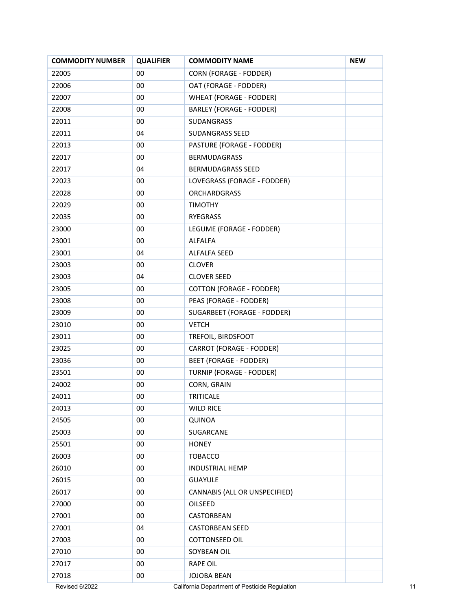| <b>COMMODITY NUMBER</b> | <b>QUALIFIER</b> | <b>COMMODITY NAME</b>                         | <b>NEW</b> |
|-------------------------|------------------|-----------------------------------------------|------------|
| 22005                   | 00               | <b>CORN (FORAGE - FODDER)</b>                 |            |
| 22006                   | $00\,$           | OAT (FORAGE - FODDER)                         |            |
| 22007                   | 00               | <b>WHEAT (FORAGE - FODDER)</b>                |            |
| 22008                   | 00               | <b>BARLEY (FORAGE - FODDER)</b>               |            |
| 22011                   | 00               | SUDANGRASS                                    |            |
| 22011                   | 04               | SUDANGRASS SEED                               |            |
| 22013                   | 00               | PASTURE (FORAGE - FODDER)                     |            |
| 22017                   | $00\,$           | <b>BERMUDAGRASS</b>                           |            |
| 22017                   | 04               | BERMUDAGRASS SEED                             |            |
| 22023                   | 00               | LOVEGRASS (FORAGE - FODDER)                   |            |
| 22028                   | $00\,$           | <b>ORCHARDGRASS</b>                           |            |
| 22029                   | 00               | <b>TIMOTHY</b>                                |            |
| 22035                   | 00               | RYEGRASS                                      |            |
| 23000                   | 00               | LEGUME (FORAGE - FODDER)                      |            |
| 23001                   | 00               | <b>ALFALFA</b>                                |            |
| 23001                   | 04               | <b>ALFALFA SEED</b>                           |            |
| 23003                   | 00               | <b>CLOVER</b>                                 |            |
| 23003                   | 04               | <b>CLOVER SEED</b>                            |            |
| 23005                   | 00               | <b>COTTON (FORAGE - FODDER)</b>               |            |
| 23008                   | $00\,$           | PEAS (FORAGE - FODDER)                        |            |
| 23009                   | 00               | SUGARBEET (FORAGE - FODDER)                   |            |
| 23010                   | 00               | <b>VETCH</b>                                  |            |
| 23011                   | $00\,$           | TREFOIL, BIRDSFOOT                            |            |
| 23025                   | 00               | CARROT (FORAGE - FODDER)                      |            |
| 23036                   | 00               | <b>BEET (FORAGE - FODDER)</b>                 |            |
| 23501                   | 00               | TURNIP (FORAGE - FODDER)                      |            |
| 24002                   | 00               | CORN, GRAIN                                   |            |
| 24011                   | 00               | TRITICALE                                     |            |
| 24013                   | 00               | <b>WILD RICE</b>                              |            |
| 24505                   | $00\,$           | QUINOA                                        |            |
| 25003                   | 00               | SUGARCANE                                     |            |
| 25501                   | $00\,$           | <b>HONEY</b>                                  |            |
| 26003                   | 00               | <b>TOBACCO</b>                                |            |
| 26010                   | 00               | <b>INDUSTRIAL HEMP</b>                        |            |
| 26015                   | $00\,$           | <b>GUAYULE</b>                                |            |
| 26017                   | 00               | CANNABIS (ALL OR UNSPECIFIED)                 |            |
| 27000                   | $00\,$           | OILSEED                                       |            |
| 27001                   | 00               | CASTORBEAN                                    |            |
| 27001                   | 04               | <b>CASTORBEAN SEED</b>                        |            |
| 27003                   | 00               | <b>COTTONSEED OIL</b>                         |            |
| 27010                   | 00               | SOYBEAN OIL                                   |            |
| 27017                   | $00\,$           | <b>RAPE OIL</b>                               |            |
| 27018                   | 00               | JOJOBA BEAN                                   |            |
| Revised 6/2022          |                  | California Department of Pesticide Regulation |            |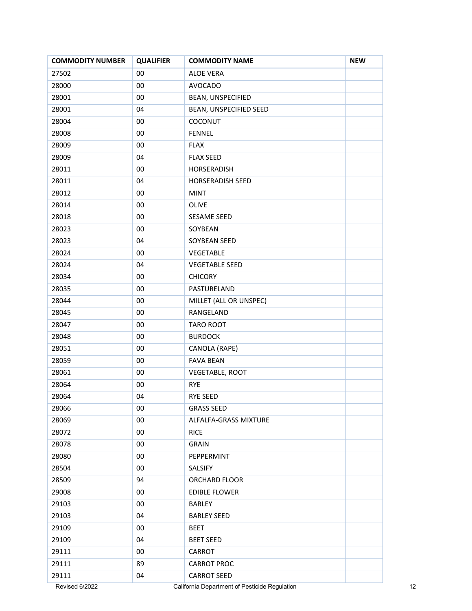| <b>COMMODITY NUMBER</b> | <b>QUALIFIER</b> | <b>COMMODITY NAME</b>                         | <b>NEW</b> |
|-------------------------|------------------|-----------------------------------------------|------------|
| 27502                   | $00\,$           | <b>ALOE VERA</b>                              |            |
| 28000                   | $00\,$           | <b>AVOCADO</b>                                |            |
| 28001                   | $00\,$           | BEAN, UNSPECIFIED                             |            |
| 28001                   | 04               | BEAN, UNSPECIFIED SEED                        |            |
| 28004                   | 00               | COCONUT                                       |            |
| 28008                   | 00               | <b>FENNEL</b>                                 |            |
| 28009                   | $00\,$           | <b>FLAX</b>                                   |            |
| 28009                   | 04               | <b>FLAX SEED</b>                              |            |
| 28011                   | 00               | HORSERADISH                                   |            |
| 28011                   | 04               | <b>HORSERADISH SEED</b>                       |            |
| 28012                   | $00\,$           | <b>MINT</b>                                   |            |
| 28014                   | 00               | OLIVE                                         |            |
| 28018                   | $00\,$           | SESAME SEED                                   |            |
| 28023                   | $00\,$           | SOYBEAN                                       |            |
| 28023                   | 04               | SOYBEAN SEED                                  |            |
| 28024                   | 00               | VEGETABLE                                     |            |
| 28024                   | 04               | <b>VEGETABLE SEED</b>                         |            |
| 28034                   | $00\,$           | <b>CHICORY</b>                                |            |
| 28035                   | $00\,$           | PASTURELAND                                   |            |
| 28044                   | $00\,$           | MILLET (ALL OR UNSPEC)                        |            |
| 28045                   | $00\,$           | RANGELAND                                     |            |
| 28047                   | $00\,$           | TARO ROOT                                     |            |
| 28048                   | $00\,$           | <b>BURDOCK</b>                                |            |
| 28051                   | $00\,$           | CANOLA (RAPE)                                 |            |
| 28059                   | $00\,$           | <b>FAVA BEAN</b>                              |            |
| 28061                   | $00\,$           | VEGETABLE, ROOT                               |            |
| 28064                   | $00\,$           | <b>RYE</b>                                    |            |
| 28064                   | 04               | RYE SEED                                      |            |
| 28066                   | 00               | <b>GRASS SEED</b>                             |            |
| 28069                   | $00\,$           | ALFALFA-GRASS MIXTURE                         |            |
| 28072                   | $00\,$           | <b>RICE</b>                                   |            |
| 28078                   | $00\,$           | <b>GRAIN</b>                                  |            |
| 28080                   | $00\,$           | PEPPERMINT                                    |            |
| 28504                   | $00\,$           | SALSIFY                                       |            |
| 28509                   | 94               | ORCHARD FLOOR                                 |            |
| 29008                   | $00\,$           | <b>EDIBLE FLOWER</b>                          |            |
| 29103                   | $00\,$           | <b>BARLEY</b>                                 |            |
| 29103                   | 04               | <b>BARLEY SEED</b>                            |            |
| 29109                   | $00\,$           | <b>BEET</b>                                   |            |
| 29109                   | 04               | <b>BEET SEED</b>                              |            |
| 29111                   | $00\,$           | CARROT                                        |            |
| 29111                   | 89               | <b>CARROT PROC</b>                            |            |
| 29111                   | 04               | <b>CARROT SEED</b>                            |            |
| Revised 6/2022          |                  | California Department of Pesticide Regulation |            |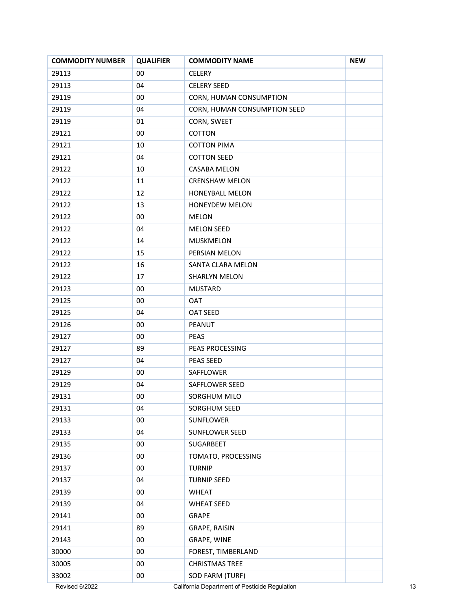| <b>COMMODITY NUMBER</b> | <b>QUALIFIER</b> | <b>COMMODITY NAME</b>                         | <b>NEW</b> |
|-------------------------|------------------|-----------------------------------------------|------------|
| 29113                   | 00               | <b>CELERY</b>                                 |            |
| 29113                   | 04               | <b>CELERY SEED</b>                            |            |
| 29119                   | 00               | CORN, HUMAN CONSUMPTION                       |            |
| 29119                   | 04               | CORN, HUMAN CONSUMPTION SEED                  |            |
| 29119                   | 01               | CORN, SWEET                                   |            |
| 29121                   | 00               | COTTON                                        |            |
| 29121                   | 10               | <b>COTTON PIMA</b>                            |            |
| 29121                   | 04               | <b>COTTON SEED</b>                            |            |
| 29122                   | 10               | <b>CASABA MELON</b>                           |            |
| 29122                   | 11               | <b>CRENSHAW MELON</b>                         |            |
| 29122                   | 12               | HONEYBALL MELON                               |            |
| 29122                   | 13               | <b>HONEYDEW MELON</b>                         |            |
| 29122                   | 00               | <b>MELON</b>                                  |            |
| 29122                   | 04               | <b>MELON SEED</b>                             |            |
| 29122                   | 14               | MUSKMELON                                     |            |
| 29122                   | 15               | PERSIAN MELON                                 |            |
| 29122                   | 16               | SANTA CLARA MELON                             |            |
| 29122                   | 17               | SHARLYN MELON                                 |            |
| 29123                   | 00               | <b>MUSTARD</b>                                |            |
| 29125                   | 00               | <b>OAT</b>                                    |            |
| 29125                   | 04               | OAT SEED                                      |            |
| 29126                   | 00               | PEANUT                                        |            |
| 29127                   | 00               | <b>PEAS</b>                                   |            |
| 29127                   | 89               | PEAS PROCESSING                               |            |
| 29127                   | 04               | PEAS SEED                                     |            |
| 29129                   | 00               | SAFFLOWER                                     |            |
| 29129                   | 04               | <b>SAFFLOWER SEED</b>                         |            |
| 29131                   | 00               | SORGHUM MILO                                  |            |
| 29131                   | 04               | SORGHUM SEED                                  |            |
| 29133                   | $00\,$           | SUNFLOWER                                     |            |
| 29133                   | 04               | SUNFLOWER SEED                                |            |
| 29135                   | $00\,$           | SUGARBEET                                     |            |
| 29136                   | 00               | TOMATO, PROCESSING                            |            |
| 29137                   | 00               | <b>TURNIP</b>                                 |            |
| 29137                   | 04               | <b>TURNIP SEED</b>                            |            |
| 29139                   | 00               | <b>WHEAT</b>                                  |            |
| 29139                   | 04               | <b>WHEAT SEED</b>                             |            |
| 29141                   | 00               | <b>GRAPE</b>                                  |            |
| 29141                   | 89               | GRAPE, RAISIN                                 |            |
| 29143                   | 00               | GRAPE, WINE                                   |            |
| 30000                   | 00               | FOREST, TIMBERLAND                            |            |
| 30005                   | $00\,$           | <b>CHRISTMAS TREE</b>                         |            |
| 33002                   | 00               | SOD FARM (TURF)                               |            |
| Revised 6/2022          |                  | California Department of Pesticide Regulation |            |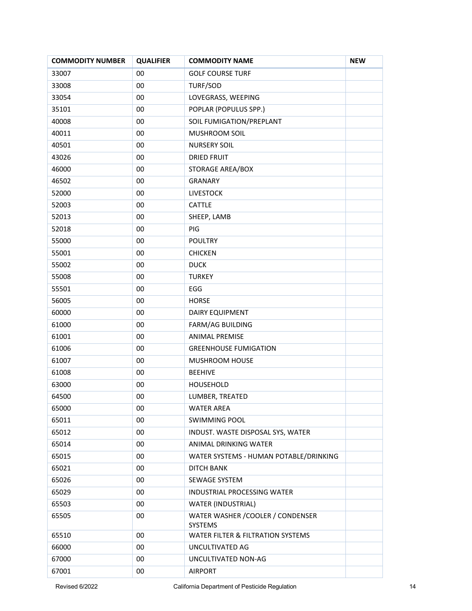| <b>COMMODITY NUMBER</b> | <b>QUALIFIER</b> | <b>COMMODITY NAME</b>                        | <b>NEW</b> |
|-------------------------|------------------|----------------------------------------------|------------|
| 33007                   | 00               | <b>GOLF COURSE TURF</b>                      |            |
| 33008                   | 00               | TURF/SOD                                     |            |
| 33054                   | 00               | LOVEGRASS, WEEPING                           |            |
| 35101                   | 00               | POPLAR (POPULUS SPP.)                        |            |
| 40008                   | 00               | SOIL FUMIGATION/PREPLANT                     |            |
| 40011                   | 00               | MUSHROOM SOIL                                |            |
| 40501                   | 00               | <b>NURSERY SOIL</b>                          |            |
| 43026                   | 00               | <b>DRIED FRUIT</b>                           |            |
| 46000                   | 00               | STORAGE AREA/BOX                             |            |
| 46502                   | 00               | <b>GRANARY</b>                               |            |
| 52000                   | 00               | <b>LIVESTOCK</b>                             |            |
| 52003                   | 00               | CATTLE                                       |            |
| 52013                   | 00               | SHEEP, LAMB                                  |            |
| 52018                   | 00               | PIG                                          |            |
| 55000                   | 00               | <b>POULTRY</b>                               |            |
| 55001                   | 00               | <b>CHICKEN</b>                               |            |
| 55002                   | 00               | <b>DUCK</b>                                  |            |
| 55008                   | 00               | <b>TURKEY</b>                                |            |
| 55501                   | 00               | EGG                                          |            |
| 56005                   | 00               | <b>HORSE</b>                                 |            |
| 60000                   | 00               | <b>DAIRY EQUIPMENT</b>                       |            |
| 61000                   | 00               | <b>FARM/AG BUILDING</b>                      |            |
| 61001                   | 00               | <b>ANIMAL PREMISE</b>                        |            |
| 61006                   | 00               | <b>GREENHOUSE FUMIGATION</b>                 |            |
| 61007                   | 00               | MUSHROOM HOUSE                               |            |
| 61008                   | 00               | <b>BEEHIVE</b>                               |            |
| 63000                   | 00               | HOUSEHOLD                                    |            |
| 64500                   | 00               | LUMBER, TREATED                              |            |
| 65000                   | 00               | <b>WATER AREA</b>                            |            |
| 65011                   | 00               | <b>SWIMMING POOL</b>                         |            |
| 65012                   | 00               | INDUST. WASTE DISPOSAL SYS, WATER            |            |
| 65014                   | 00               | ANIMAL DRINKING WATER                        |            |
| 65015                   | 00               | WATER SYSTEMS - HUMAN POTABLE/DRINKING       |            |
| 65021                   | 00               | <b>DITCH BANK</b>                            |            |
| 65026                   | 00               | SEWAGE SYSTEM                                |            |
| 65029                   | 00               | INDUSTRIAL PROCESSING WATER                  |            |
| 65503                   | 00               | <b>WATER (INDUSTRIAL)</b>                    |            |
| 65505                   | 00               | WATER WASHER / COOLER / CONDENSER<br>SYSTEMS |            |
| 65510                   | 00               | WATER FILTER & FILTRATION SYSTEMS            |            |
| 66000                   | 00               | UNCULTIVATED AG                              |            |
| 67000                   | 00               | UNCULTIVATED NON-AG                          |            |
| 67001                   | 00               | <b>AIRPORT</b>                               |            |